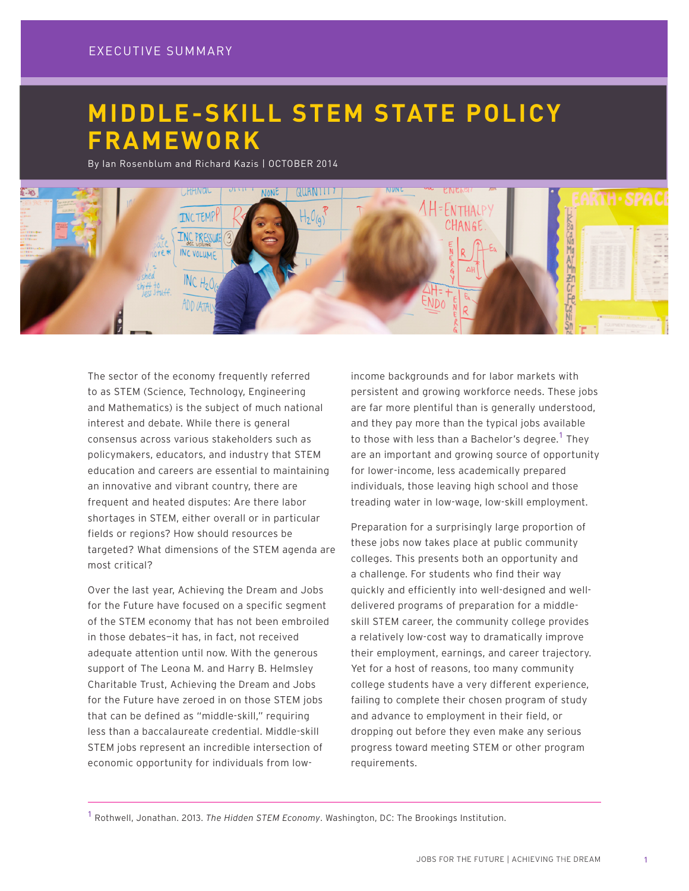## **MIDDLE-SKILL STEM STATE POLICY FRAMEWORK**

By Ian Rosenblum and Richard Kazis | OCTOBER 2014



The sector of the economy frequently referred to as STEM (Science, Technology, Engineering and Mathematics) is the subject of much national interest and debate. While there is general consensus across various stakeholders such as policymakers, educators, and industry that STEM education and careers are essential to maintaining an innovative and vibrant country, there are frequent and heated disputes: Are there labor shortages in STEM, either overall or in particular fields or regions? How should resources be targeted? What dimensions of the STEM agenda are most critical?

Over the last year, Achieving the Dream and Jobs for the Future have focused on a specific segment of the STEM economy that has not been embroiled in those debates—it has, in fact, not received adequate attention until now. With the generous support of The Leona M. and Harry B. Helmsley Charitable Trust, Achieving the Dream and Jobs for the Future have zeroed in on those STEM jobs that can be defined as "middle-skill," requiring less than a baccalaureate credential. Middle-skill STEM jobs represent an incredible intersection of economic opportunity for individuals from lowincome backgrounds and for labor markets with persistent and growing workforce needs. These jobs are far more plentiful than is generally understood, and they pay more than the typical jobs available to those with less than a Bachelor's degree. $^{\rm 1}$  They are an important and growing source of opportunity for lower-income, less academically prepared individuals, those leaving high school and those treading water in low-wage, low-skill employment.

Preparation for a surprisingly large proportion of these jobs now takes place at public community colleges. This presents both an opportunity and a challenge. For students who find their way quickly and efficiently into well-designed and welldelivered programs of preparation for a middleskill STEM career, the community college provides a relatively low-cost way to dramatically improve their employment, earnings, and career trajectory. Yet for a host of reasons, too many community college students have a very different experience, failing to complete their chosen program of study and advance to employment in their field, or dropping out before they even make any serious progress toward meeting STEM or other program requirements.

1 Rothwell, Jonathan. 2013. *The Hidden STEM Economy*. Washington, DC: The Brookings Institution.